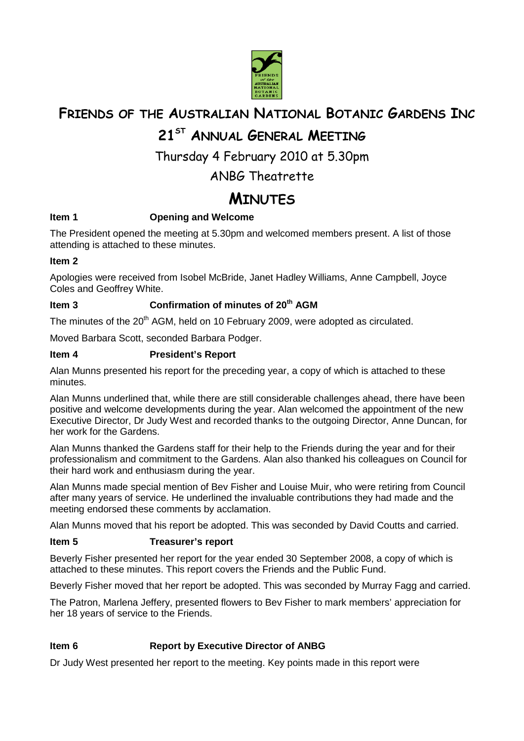

## **FRIENDS OF THE AUSTRALIAN NATIONAL BOTANIC GARDENS INC**

## **21ST ANNUAL GENERAL MEETING**

Thursday 4 February 2010 at 5.30pm

## ANBG Theatrette

# **MINUTES**

## **Item 1** Opening and Welcome

The President opened the meeting at 5.30pm and welcomed members present. A list of those attending is attached to these minutes.

### **Item 2**

Apologies were received from Isobel McBride, Janet Hadley Williams, Anne Campbell, Joyce Coles and Geoffrey White.

## **Item 3 Confirmation of minutes of 20th AGM**

The minutes of the 20<sup>th</sup> AGM, held on 10 February 2009, were adopted as circulated.

Moved Barbara Scott, seconded Barbara Podger.

## **Item 4 President's Report**

Alan Munns presented his report for the preceding year, a copy of which is attached to these minutes.

Alan Munns underlined that, while there are still considerable challenges ahead, there have been positive and welcome developments during the year. Alan welcomed the appointment of the new Executive Director, Dr Judy West and recorded thanks to the outgoing Director, Anne Duncan, for her work for the Gardens.

Alan Munns thanked the Gardens staff for their help to the Friends during the year and for their professionalism and commitment to the Gardens. Alan also thanked his colleagues on Council for their hard work and enthusiasm during the year.

Alan Munns made special mention of Bev Fisher and Louise Muir, who were retiring from Council after many years of service. He underlined the invaluable contributions they had made and the meeting endorsed these comments by acclamation.

Alan Munns moved that his report be adopted. This was seconded by David Coutts and carried.

#### **Item 5** Treasurer's report

Beverly Fisher presented her report for the year ended 30 September 2008, a copy of which is attached to these minutes. This report covers the Friends and the Public Fund.

Beverly Fisher moved that her report be adopted. This was seconded by Murray Fagg and carried.

The Patron, Marlena Jeffery, presented flowers to Bev Fisher to mark members' appreciation for her 18 years of service to the Friends.

## **Item 6 Report by Executive Director of ANBG**

Dr Judy West presented her report to the meeting. Key points made in this report were